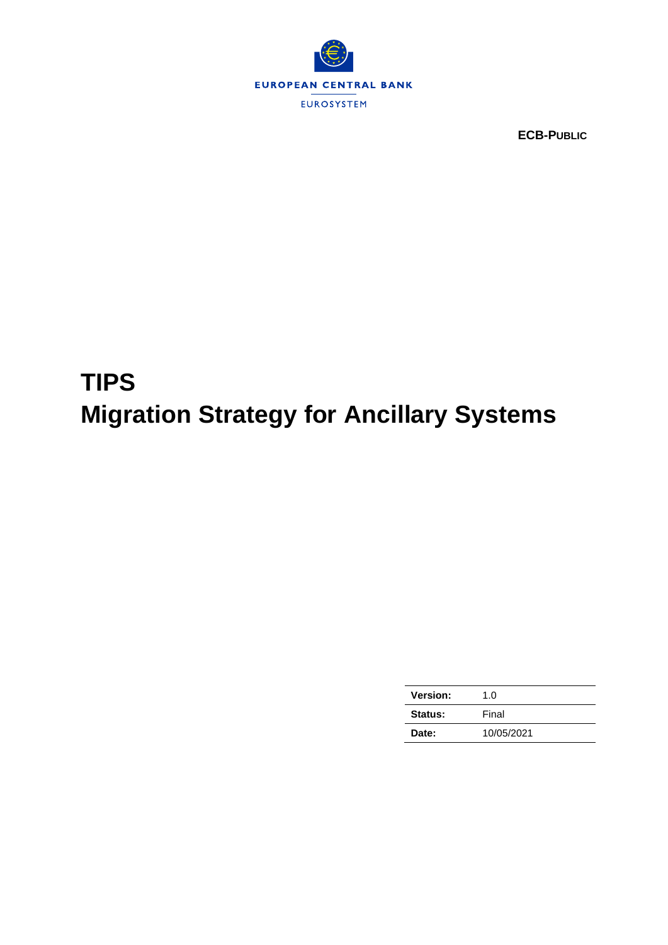

**ECB-PUBLIC**

# **TIPS Migration Strategy for Ancillary Systems**

| <b>Version:</b> | 1.0        |
|-----------------|------------|
| Status:         | Final      |
| Date:           | 10/05/2021 |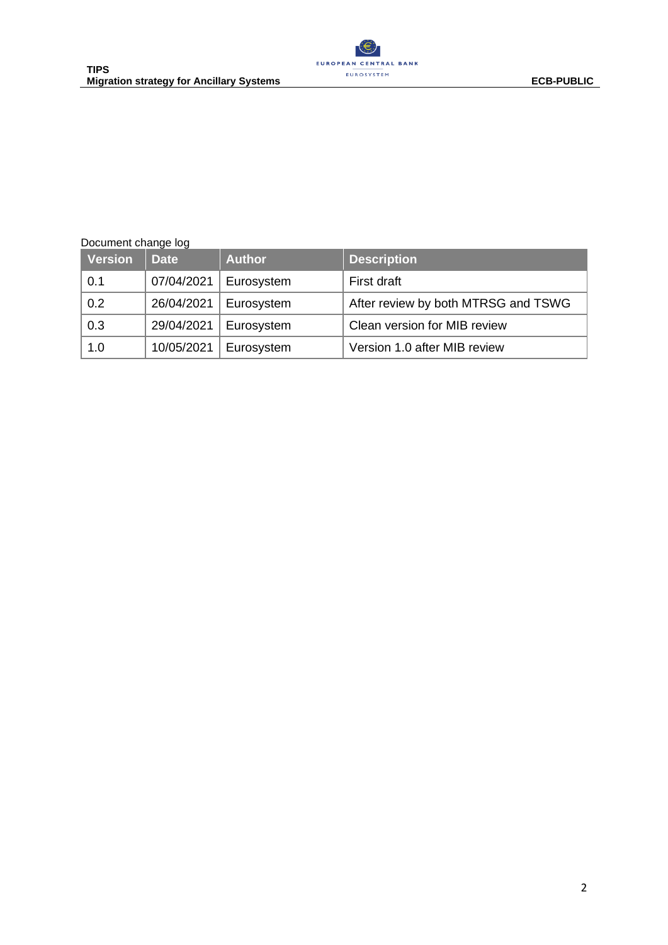

#### Document change log

| <b>Version</b> | <b>Date</b> | <b>Author</b> | <b>Description</b>                  |
|----------------|-------------|---------------|-------------------------------------|
| 0.1            | 07/04/2021  | Eurosystem    | First draft                         |
| 0.2            | 26/04/2021  | Eurosystem    | After review by both MTRSG and TSWG |
| 0.3            | 29/04/2021  | Eurosystem    | Clean version for MIB review        |
| 1.0            | 10/05/2021  | Eurosystem    | Version 1.0 after MIB review        |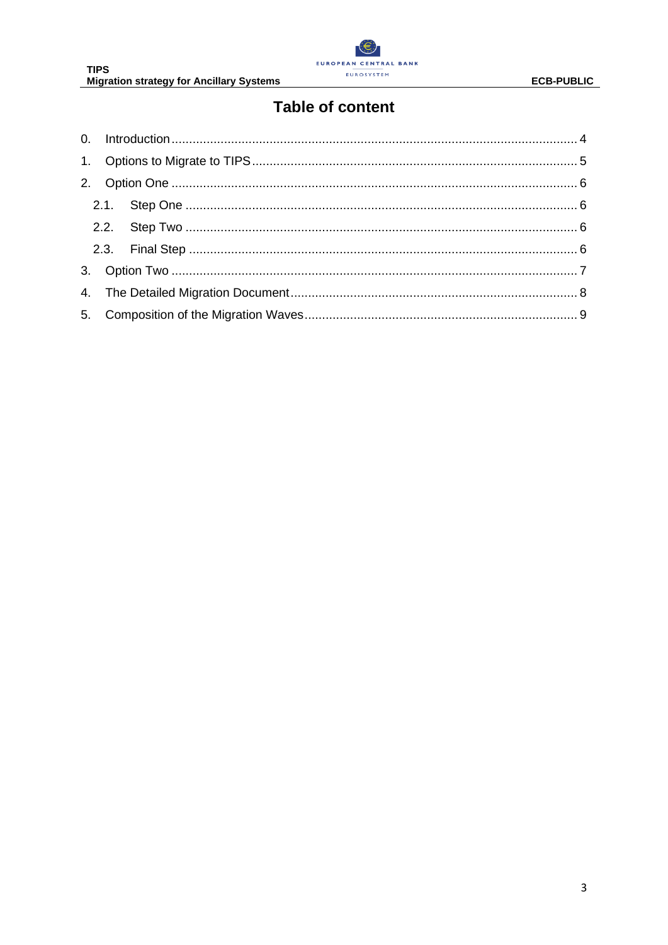

# **Table of content**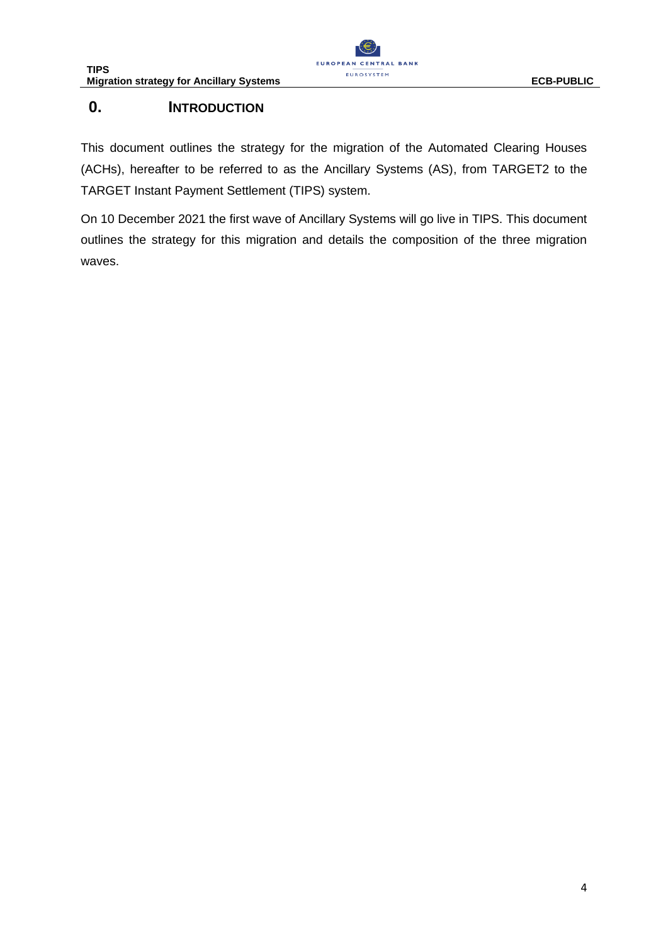

## <span id="page-3-0"></span>**0. INTRODUCTION**

This document outlines the strategy for the migration of the Automated Clearing Houses (ACHs), hereafter to be referred to as the Ancillary Systems (AS), from TARGET2 to the TARGET Instant Payment Settlement (TIPS) system.

On 10 December 2021 the first wave of Ancillary Systems will go live in TIPS. This document outlines the strategy for this migration and details the composition of the three migration waves.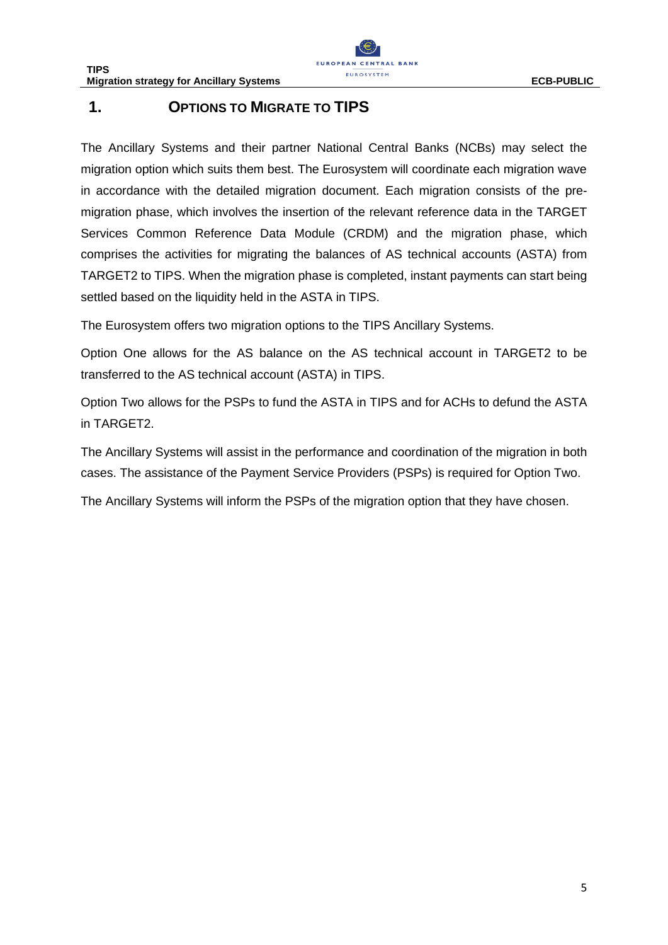## <span id="page-4-0"></span>**1. OPTIONS TO MIGRATE TO TIPS**

The Ancillary Systems and their partner National Central Banks (NCBs) may select the migration option which suits them best. The Eurosystem will coordinate each migration wave in accordance with the detailed migration document. Each migration consists of the premigration phase, which involves the insertion of the relevant reference data in the TARGET Services Common Reference Data Module (CRDM) and the migration phase, which comprises the activities for migrating the balances of AS technical accounts (ASTA) from TARGET2 to TIPS. When the migration phase is completed, instant payments can start being settled based on the liquidity held in the ASTA in TIPS.

The Eurosystem offers two migration options to the TIPS Ancillary Systems.

Option One allows for the AS balance on the AS technical account in TARGET2 to be transferred to the AS technical account (ASTA) in TIPS.

Option Two allows for the PSPs to fund the ASTA in TIPS and for ACHs to defund the ASTA in TARGET2.

The Ancillary Systems will assist in the performance and coordination of the migration in both cases. The assistance of the Payment Service Providers (PSPs) is required for Option Two.

The Ancillary Systems will inform the PSPs of the migration option that they have chosen.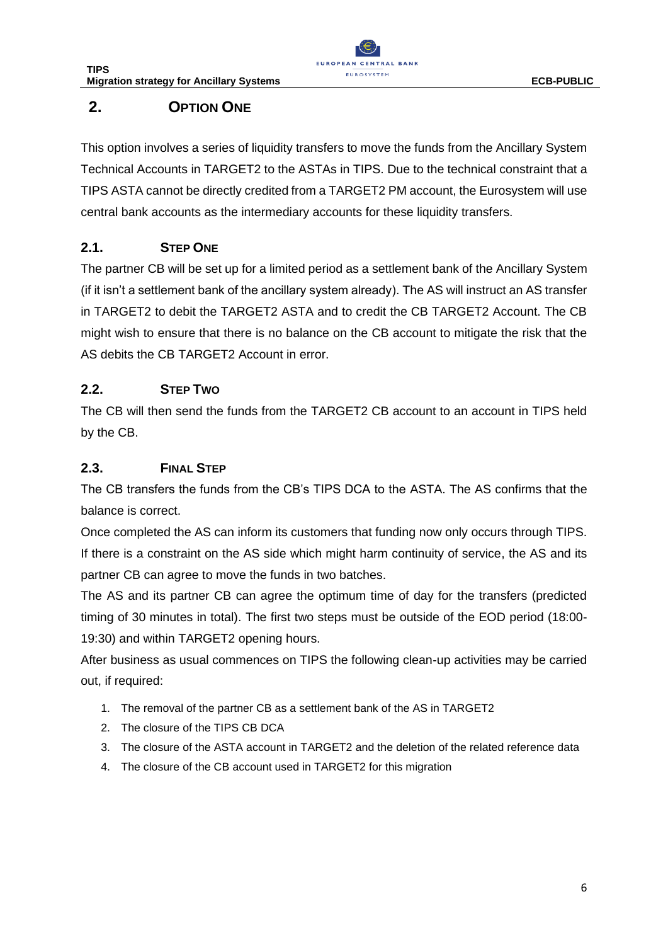

# <span id="page-5-0"></span>**2. OPTION ONE**

This option involves a series of liquidity transfers to move the funds from the Ancillary System Technical Accounts in TARGET2 to the ASTAs in TIPS. Due to the technical constraint that a TIPS ASTA cannot be directly credited from a TARGET2 PM account, the Eurosystem will use central bank accounts as the intermediary accounts for these liquidity transfers.

## <span id="page-5-1"></span>**2.1. STEP ONE**

The partner CB will be set up for a limited period as a settlement bank of the Ancillary System (if it isn't a settlement bank of the ancillary system already). The AS will instruct an AS transfer in TARGET2 to debit the TARGET2 ASTA and to credit the CB TARGET2 Account. The CB might wish to ensure that there is no balance on the CB account to mitigate the risk that the AS debits the CB TARGET2 Account in error.

### <span id="page-5-2"></span>**2.2. STEP TWO**

The CB will then send the funds from the TARGET2 CB account to an account in TIPS held by the CB.

#### <span id="page-5-3"></span>**2.3. FINAL STEP**

The CB transfers the funds from the CB's TIPS DCA to the ASTA. The AS confirms that the balance is correct.

Once completed the AS can inform its customers that funding now only occurs through TIPS. If there is a constraint on the AS side which might harm continuity of service, the AS and its partner CB can agree to move the funds in two batches.

The AS and its partner CB can agree the optimum time of day for the transfers (predicted timing of 30 minutes in total). The first two steps must be outside of the EOD period (18:00- 19:30) and within TARGET2 opening hours.

After business as usual commences on TIPS the following clean-up activities may be carried out, if required:

- 1. The removal of the partner CB as a settlement bank of the AS in TARGET2
- 2. The closure of the TIPS CB DCA
- 3. The closure of the ASTA account in TARGET2 and the deletion of the related reference data
- 4. The closure of the CB account used in TARGET2 for this migration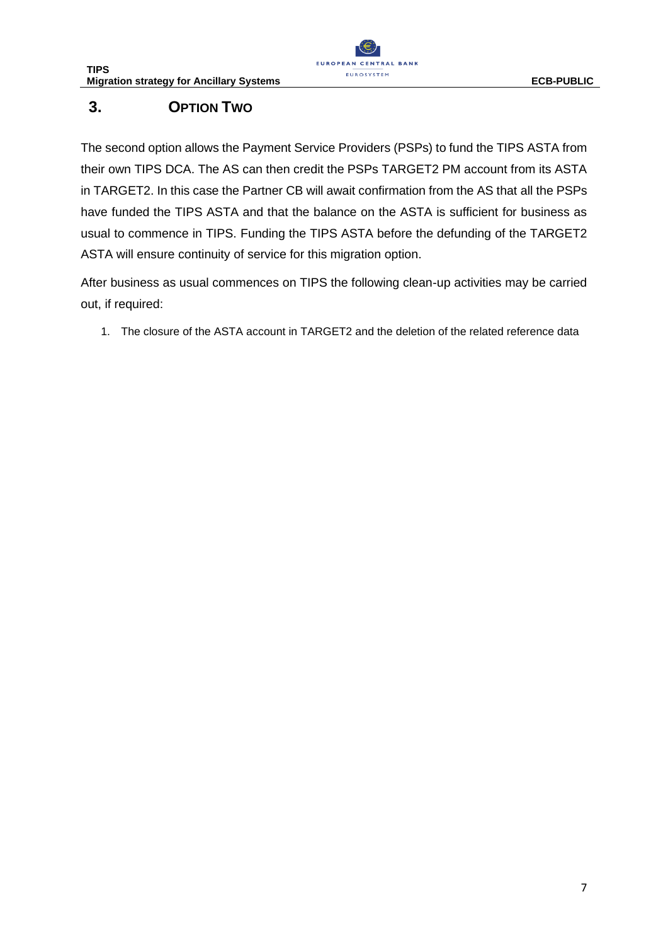

# <span id="page-6-0"></span>**3. OPTION TWO**

The second option allows the Payment Service Providers (PSPs) to fund the TIPS ASTA from their own TIPS DCA. The AS can then credit the PSPs TARGET2 PM account from its ASTA in TARGET2. In this case the Partner CB will await confirmation from the AS that all the PSPs have funded the TIPS ASTA and that the balance on the ASTA is sufficient for business as usual to commence in TIPS. Funding the TIPS ASTA before the defunding of the TARGET2 ASTA will ensure continuity of service for this migration option.

After business as usual commences on TIPS the following clean-up activities may be carried out, if required:

1. The closure of the ASTA account in TARGET2 and the deletion of the related reference data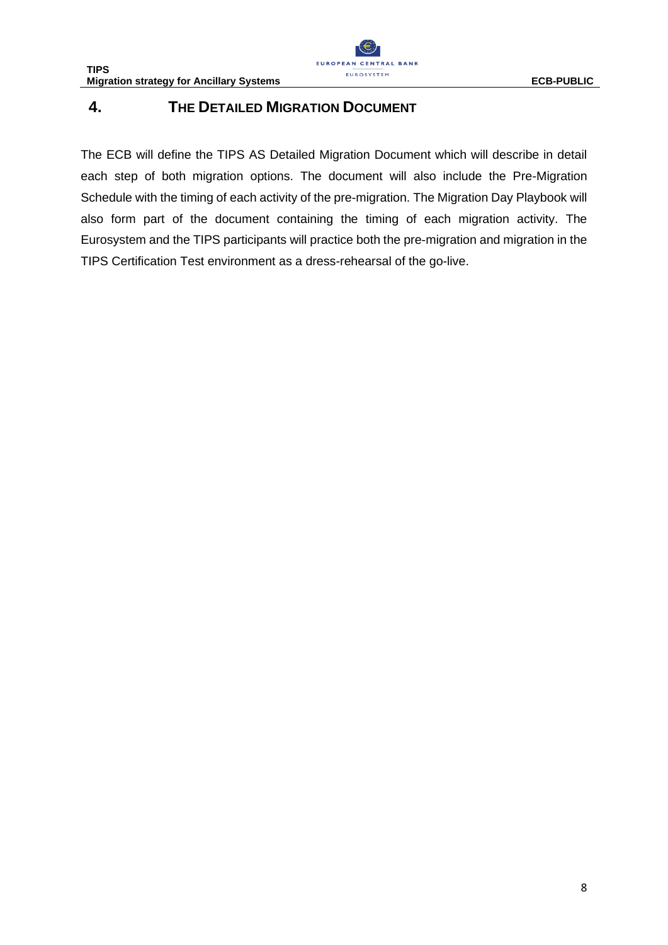

## <span id="page-7-0"></span>**4. THE DETAILED MIGRATION DOCUMENT**

The ECB will define the TIPS AS Detailed Migration Document which will describe in detail each step of both migration options. The document will also include the Pre-Migration Schedule with the timing of each activity of the pre-migration. The Migration Day Playbook will also form part of the document containing the timing of each migration activity. The Eurosystem and the TIPS participants will practice both the pre-migration and migration in the TIPS Certification Test environment as a dress-rehearsal of the go-live.